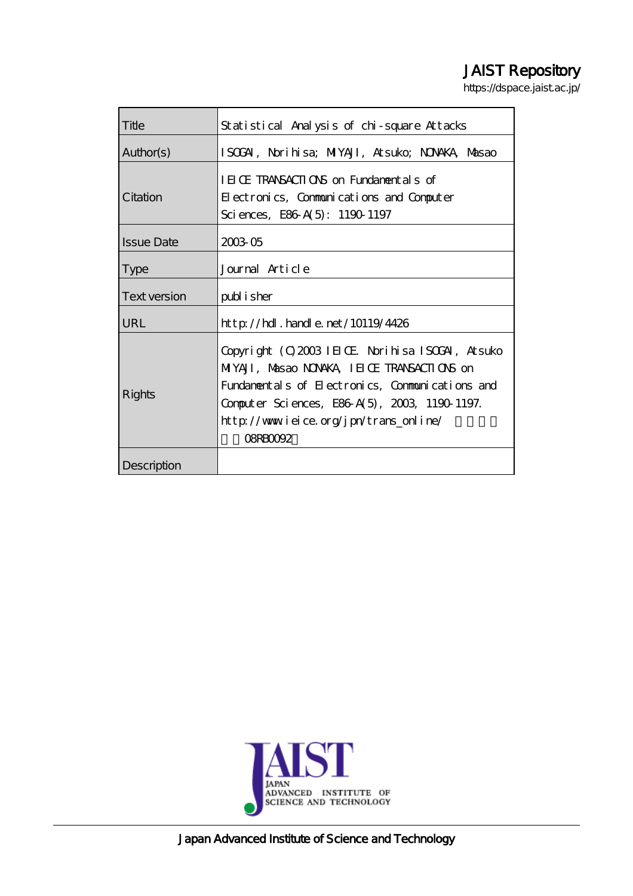# JAIST Repository

https://dspace.jaist.ac.jp/

| Title             | Statistical Analysis of chi-square Attacks                                                                                                                                                                                                                       |
|-------------------|------------------------------------------------------------------------------------------------------------------------------------------------------------------------------------------------------------------------------------------------------------------|
| Author(s)         | ISOGAI, Norihisa; MIYAJI, Atsuko; NONAKA, Masao                                                                                                                                                                                                                  |
| Citation          | IEICE TRANSACTIONS on Fundamentals of<br>Electronics, Communications and Computer<br>Sciences, E86 A(5): 1190 1197                                                                                                                                               |
| <b>Issue Date</b> | 2003 05                                                                                                                                                                                                                                                          |
| <b>Type</b>       | Journal Article                                                                                                                                                                                                                                                  |
| Text version      | publisher                                                                                                                                                                                                                                                        |
| URL               | $http$ // $hdl$ . handle. net/10119/4426                                                                                                                                                                                                                         |
| Rights            | Copyright (C) 2003 IEIOE Norihisa ISOGAI, Atsuko<br>MIYAJI, Masao NONAKA, IEI Œ TRANSACTIONS on<br>Fundamentals of Electronics, Communications and<br>Computer Sciences, E86 A(5), 2003, 1190 1197.<br>http://www.ieice.org/jpn/trans_online/<br><b>OSRBOOGZ</b> |
| Description       |                                                                                                                                                                                                                                                                  |



Japan Advanced Institute of Science and Technology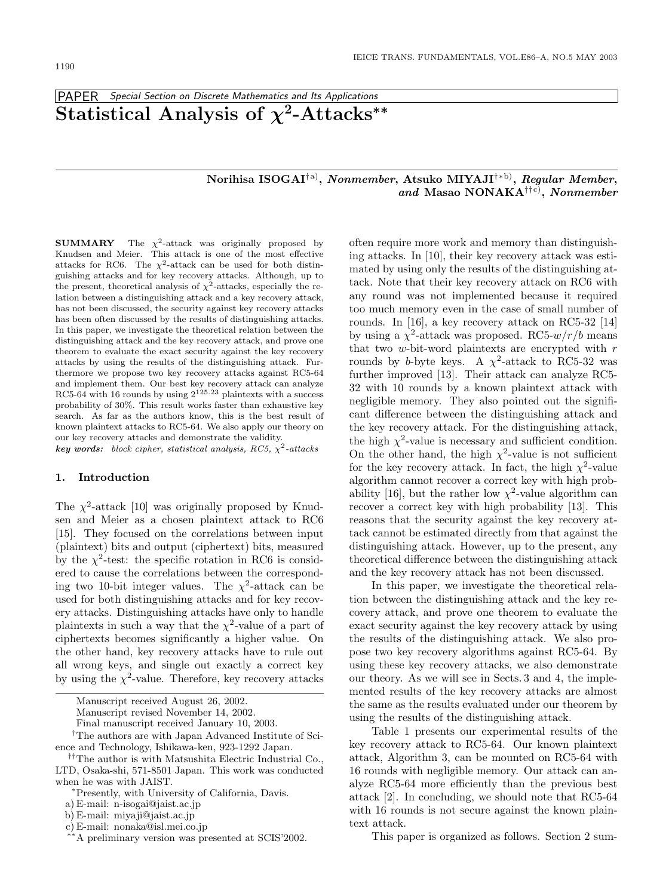## PAPER Special Section on Discrete Mathematics and Its Applications **Statistical Analysis of** *χ***2-Attacks***∗∗*

## **Norihisa ISOGAI**†a)**,** *Nonmember***, Atsuko MIYAJI**†∗b)**,** *Regular Member***,** *and* **Masao NONAKA**††c)**,** *Nonmember*

**SUMMARY** The  $\chi^2$ -attack was originally proposed by Knudsen and Meier. This attack is one of the most effective attacks for RC6. The  $\chi^2$ -attack can be used for both distinguishing attacks and for key recovery attacks. Although, up to the present, theoretical analysis of  $\chi^2$ -attacks, especially the relation between a distinguishing attack and a key recovery attack, has not been discussed, the security against key recovery attacks has been often discussed by the results of distinguishing attacks. In this paper, we investigate the theoretical relation between the distinguishing attack and the key recovery attack, and prove one theorem to evaluate the exact security against the key recovery attacks by using the results of the distinguishing attack. Furthermore we propose two key recovery attacks against RC5-64 and implement them. Our best key recovery attack can analyze RC5-64 with 16 rounds by using  $2^{125.23}$  plaintexts with a success probability of 30%. This result works faster than exhaustive key search. As far as the authors know, this is the best result of known plaintext attacks to RC5-64. We also apply our theory on our key recovery attacks and demonstrate the validity.  $key words: block cipher, statistical analysis, RC5, \chi^2-attacks$ 

## **1. Introduction**

The  $\chi^2$ -attack [10] was originally proposed by Knudsen and Meier as a chosen plaintext attack to RC6 [15]. They focused on the correlations between input (plaintext) bits and output (ciphertext) bits, measured by the  $\chi^2$ -test: the specific rotation in RC6 is considered to cause the correlations between the corresponding two 10-bit integer values. The  $\chi^2$ -attack can be used for both distinguishing attacks and for key recovery attacks. Distinguishing attacks have only to handle plaintexts in such a way that the  $\chi^2$ -value of a part of ciphertexts becomes significantly a higher value. On the other hand, key recovery attacks have to rule out all wrong keys, and single out exactly a correct key by using the  $\chi^2$ -value. Therefore, key recovery attacks

Final manuscript received January 10, 2003.

†The authors are with Japan Advanced Institute of Science and Technology, Ishikawa-ken, 923-1292 Japan.

c) E-mail: nonaka@isl.mei.co.jp

often require more work and memory than distinguishing attacks. In [10], their key recovery attack was estimated by using only the results of the distinguishing attack. Note that their key recovery attack on RC6 with any round was not implemented because it required too much memory even in the case of small number of rounds. In [16], a key recovery attack on RC5-32 [14] by using a  $\chi^2$ -attack was proposed. RC5- $w/r/b$  means that two  $w$ -bit-word plaintexts are encrypted with  $r$ rounds by b-byte keys. A  $\chi^2$ -attack to RC5-32 was further improved [13]. Their attack can analyze RC5- 32 with 10 rounds by a known plaintext attack with negligible memory. They also pointed out the significant difference between the distinguishing attack and the key recovery attack. For the distinguishing attack, the high  $\chi^2$ -value is necessary and sufficient condition. On the other hand, the high  $\chi^2$ -value is not sufficient for the key recovery attack. In fact, the high  $\chi^2$ -value algorithm cannot recover a correct key with high probability [16], but the rather low  $\chi^2$ -value algorithm can recover a correct key with high probability [13]. This reasons that the security against the key recovery attack cannot be estimated directly from that against the distinguishing attack. However, up to the present, any theoretical difference between the distinguishing attack and the key recovery attack has not been discussed.

In this paper, we investigate the theoretical relation between the distinguishing attack and the key recovery attack, and prove one theorem to evaluate the exact security against the key recovery attack by using the results of the distinguishing attack. We also propose two key recovery algorithms against RC5-64. By using these key recovery attacks, we also demonstrate our theory. As we will see in Sects. 3 and 4, the implemented results of the key recovery attacks are almost the same as the results evaluated under our theorem by using the results of the distinguishing attack.

Table 1 presents our experimental results of the key recovery attack to RC5-64. Our known plaintext attack, Algorithm 3, can be mounted on RC5-64 with 16 rounds with negligible memory. Our attack can analyze RC5-64 more efficiently than the previous best attack [2]. In concluding, we should note that RC5-64 with 16 rounds is not secure against the known plaintext attack.

This paper is organized as follows. Section 2 sum-

Manuscript received August 26, 2002.

Manuscript revised November 14, 2002.

<sup>††</sup>The author is with Matsushita Electric Industrial Co., LTD, Osaka-shi, 571-8501 Japan. This work was conducted when he was with JAIST.

<sup>∗</sup>Presently, with University of California, Davis.

a) E-mail: n-isogai@jaist.ac.jp

b) E-mail: miyaji@jaist.ac.jp

<sup>∗∗</sup>A preliminary version was presented at SCIS'2002.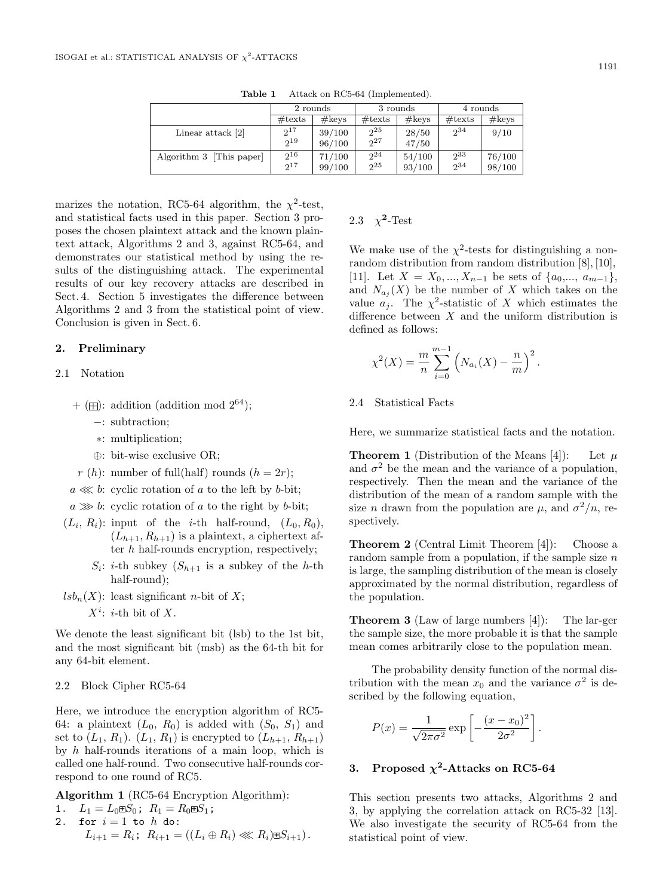|                          | 2 rounds         |        |                  | 3 rounds | 4 rounds         |        |  |
|--------------------------|------------------|--------|------------------|----------|------------------|--------|--|
|                          | $\#\text{texts}$ | #keys  | $\#\text{texts}$ | #keys    | $\#\text{texts}$ | #keys  |  |
| Linear attack $[2]$      | $2^{17}$         | 39/100 | $2^{25}$         | 28/50    | $2^{34}$         | 9/10   |  |
|                          | $2^{19}$         | 96/100 | $2^{27}$         | 47/50    |                  |        |  |
| Algorithm 3 [This paper] | $2^{16}$         | 71/100 | $2^{24}$         | 54/100   | $2^{33}$         | 76/100 |  |
|                          | $2^{17}$         | 99/100 | $2^{25}$         | 93/100   | 234              | 98/100 |  |

**Table 1** Attack on RC5-64 (Implemented).

marizes the notation, RC5-64 algorithm, the  $\chi^2$ -test, and statistical facts used in this paper. Section 3 proposes the chosen plaintext attack and the known plaintext attack, Algorithms 2 and 3, against RC5-64, and demonstrates our statistical method by using the results of the distinguishing attack. The experimental results of our key recovery attacks are described in Sect. 4. Section 5 investigates the difference between Algorithms 2 and 3 from the statistical point of view. Conclusion is given in Sect. 6.

## **2. Preliminary**

## 2.1 Notation

- $+$  ( $\boxplus$ ): addition (addition mod  $2^{64}$ );
	- −: subtraction;
	- ∗: multiplication;
	- ⊕: bit-wise exclusive OR;
- r (h): number of full(half) rounds ( $h = 2r$ );

 $a \lll b$ : cyclic rotation of a to the left by b-bit;

- $a \gg b$ : cyclic rotation of a to the right by b-bit;
- $(L_i, R_i)$ : input of the *i*-th half-round,  $(L_0, R_0)$ ,  $(L_{h+1}, R_{h+1})$  is a plaintext, a ciphertext after h half-rounds encryption, respectively;
	- $S_i$ : *i*-th subkey  $(S_{h+1}$  is a subkey of the *h*-th half-round);
- $lsb_n(X)$ : least significant *n*-bit of X;
	- $X^i$ : *i*-th bit of X.

We denote the least significant bit (lsb) to the 1st bit, and the most significant bit (msb) as the 64-th bit for any 64-bit element.

## 2.2 Block Cipher RC5-64

Here, we introduce the encryption algorithm of RC5- 64: a plaintext  $(L_0, R_0)$  is added with  $(S_0, S_1)$  and set to  $(L_1, R_1)$ .  $(L_1, R_1)$  is encrypted to  $(L_{h+1}, R_{h+1})$ by  $h$  half-rounds iterations of a main loop, which is called one half-round. Two consecutive half-rounds correspond to one round of RC5.

**Algorithm 1** (RC5-64 Encryption Algorithm):

1. 
$$
L_1 = L_0 \boxplus S_0
$$
;  $R_1 = R_0 \boxplus S_1$ ;

2. for  $i = 1$  to  $h$  do:  $L_{i+1} = R_i$ ;  $R_{i+1} = ((L_i \oplus R_i) \lll R_i) \boxplus S_{i+1}).$ 

## 2.3  $\chi^2$ -Test

We make use of the  $\chi^2$ -tests for distinguishing a nonrandom distribution from random distribution [8], [10], [11]. Let  $X = X_0, ..., X_{n-1}$  be sets of  $\{a_0, ..., a_{m-1}\},$ and  $N_{a_i}(X)$  be the number of X which takes on the value  $a_i$ . The  $\chi^2$ -statistic of X which estimates the difference between  $X$  and the uniform distribution is defined as follows:

$$
\chi^{2}(X) = \frac{m}{n} \sum_{i=0}^{m-1} \left( N_{a_{i}}(X) - \frac{n}{m} \right)^{2}.
$$

2.4 Statistical Facts

Here, we summarize statistical facts and the notation.

**Theorem 1** (Distribution of the Means [4]): Let  $\mu$ and  $\sigma^2$  be the mean and the variance of a population, respectively. Then the mean and the variance of the distribution of the mean of a random sample with the size *n* drawn from the population are  $\mu$ , and  $\sigma^2/n$ , respectively.

**Theorem 2** (Central Limit Theorem [4]): Choose a random sample from a population, if the sample size  $n$ is large, the sampling distribution of the mean is closely approximated by the normal distribution, regardless of the population.

**Theorem 3** (Law of large numbers [4]): The lar-ger the sample size, the more probable it is that the sample mean comes arbitrarily close to the population mean.

The probability density function of the normal distribution with the mean  $x_0$  and the variance  $\sigma^2$  is described by the following equation,

$$
P(x) = \frac{1}{\sqrt{2\pi\sigma^2}} \exp\left[-\frac{(x-x_0)^2}{2\sigma^2}\right].
$$

## **3.** Proposed  $\chi^2$ **-Attacks on RC5-64**

This section presents two attacks, Algorithms 2 and 3, by applying the correlation attack on RC5-32 [13]. We also investigate the security of RC5-64 from the statistical point of view.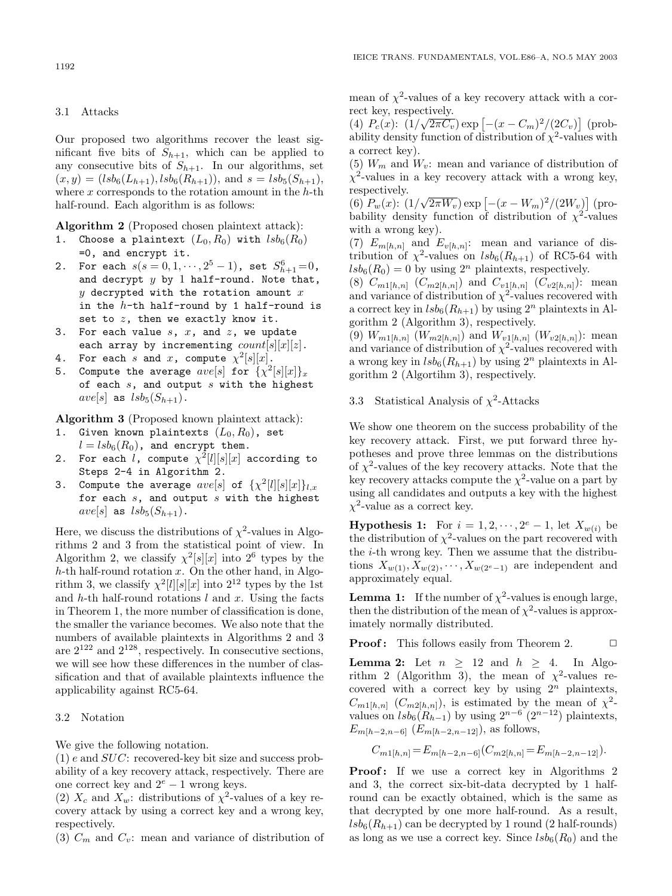#### 3.1 Attacks

Our proposed two algorithms recover the least significant five bits of  $S_{h+1}$ , which can be applied to any consecutive bits of  $S_{h+1}$ . In our algorithms, set  $(x, y) = (lsb<sub>6</sub>(L<sub>h+1</sub>), lsb<sub>6</sub>(R<sub>h+1</sub>)),$  and  $s = lsb<sub>5</sub>(S<sub>h+1</sub>),$ where  $x$  corresponds to the rotation amount in the  $h$ -th half-round. Each algorithm is as follows:

**Algorithm 2** (Proposed chosen plaintext attack):

- 1. Choose a plaintext  $(L_0, R_0)$  with  $lsb_6(R_0)$ =0, and encrypt it.
- 2. For each  $s(s = 0, 1, \dots, 2^5 1)$ , set  $S_{h+1}^6 = 0$ , and decrypt  $y$  by 1 half-round. Note that,  $y$  decrypted with the rotation amount  $x$ in the  $h$ -th half-round by 1 half-round is set to  $z$ , then we exactly know it.
- 3. For each value  $s, x$ , and  $z$ , we update each array by incrementing  $count[s][x][z]$ .
- 4. For each s and x, compute  $\chi^2[s][x]$ .
- 5. Compute the average  $ave[s]$  for  $\{\chi^2[s][x]\}_x$ of each  $s$ , and output  $s$  with the highest  $ave[s]$  as  $lsb<sub>5</sub>(S<sub>h+1</sub>)$ .

**Algorithm 3** (Proposed known plaintext attack):

- 1. Given known plaintexts  $(L_0, R_0)$ , set  $l = lsb<sub>6</sub>(R<sub>0</sub>)$ , and encrypt them.
- 2. For each  $l$ , compute  $\chi^2[l][s][x]$  according to Steps 2-4 in Algorithm 2.
- 3. Compute the average  $ave[s]$  of  $\{\chi^2[l][s][x]\}_{l,x}$ for each  $s$ , and output  $s$  with the highest  $ave[s]$  as  $lsb<sub>5</sub>(S<sub>h+1</sub>)$ .

Here, we discuss the distributions of  $\chi^2$ -values in Algorithms 2 and 3 from the statistical point of view. In Algorithm 2, we classify  $\chi^2[s][x]$  into  $2^6$  types by the  $h$ -th half-round rotation x. On the other hand, in Algorithm 3, we classify  $\chi^2[l][s][x]$  into  $2^{12}$  types by the 1st and h-th half-round rotations  $l$  and  $x$ . Using the facts in Theorem 1, the more number of classification is done, the smaller the variance becomes. We also note that the numbers of available plaintexts in Algorithms 2 and 3 are  $2^{122}$  and  $2^{128}$ , respectively. In consecutive sections, we will see how these differences in the number of classification and that of available plaintexts influence the applicability against RC5-64.

#### 3.2 Notation

We give the following notation.

 $(1)$  e and  $SUC$ : recovered-key bit size and success probability of a key recovery attack, respectively. There are one correct key and  $2^e - 1$  wrong keys.

(2)  $X_c$  and  $X_w$ : distributions of  $\chi^2$ -values of a key recovery attack by using a correct key and a wrong key, respectively.

(3)  $C_m$  and  $C_v$ : mean and variance of distribution of

mean of  $\chi^2$ -values of a key recovery attack with a correct key, respectively.

Fect key, respectively.<br>
(4)  $P_c(x)$ :  $(1/\sqrt{2\pi C_v}) \exp[-(x - C_m)^2/(2C_v)]$  (probability density function of distribution of  $\chi^2$ -values with a correct key).

(5)  $W_m$  and  $W_v$ : mean and variance of distribution of  $\chi^2$ -values in a key recovery attack with a wrong key, respectively.

respectively.<br>
(6)  $P_w(x)$ :  $(1/\sqrt{2\pi W_v}) \exp \left[ -(x - W_m)^2 / (2W_v) \right]$  (probability density function of distribution of  $\chi^2$ -values with a wrong key).

(7)  $E_{m[h,n]}$  and  $E_{v[h,n]}$ : mean and variance of distribution of  $\chi^2$ -values on  $lsb_6(R_{h+1})$  of RC5-64 with  $lsb_6(R_0) = 0$  by using  $2^n$  plaintexts, respectively.

(8)  $C_{m1[h,n]}$   $(C_{m2[h,n]})$  and  $C_{v1[h,n]}$   $(C_{v2[h,n]})$ : mean and variance of distribution of  $\chi^2$ -values recovered with a correct key in  $lsb_6(R_{h+1})$  by using  $2^n$  plaintexts in Algorithm 2 (Algorithm 3), respectively.

(9)  $W_{m1[h,n]}$   $(W_{m2[h,n]})$  and  $W_{v1[h,n]}$   $(W_{v2[h,n]})$ : mean and variance of distribution of  $\chi^2$ -values recovered with a wrong key in  $lsb_6(R_{h+1})$  by using  $2^n$  plaintexts in Algorithm 2 (Algortihm 3), respectively.

## 3.3 Statistical Analysis of  $\chi^2$ -Attacks

We show one theorem on the success probability of the key recovery attack. First, we put forward three hypotheses and prove three lemmas on the distributions of  $\chi^2$ -values of the key recovery attacks. Note that the key recovery attacks compute the  $\chi^2$ -value on a part by using all candidates and outputs a key with the highest  $\chi^2$ -value as a correct key.

**Hypothesis 1:** For  $i = 1, 2, \dots, 2^e - 1$ , let  $X_{w(i)}$  be the distribution of  $\chi^2$ -values on the part recovered with the i-th wrong key. Then we assume that the distributions  $X_{w(1)}, X_{w(2)}, \cdots, X_{w(2^e-1)}$  are independent and approximately equal.

**Lemma 1:** If the number of  $\chi^2$ -values is enough large, then the distribution of the mean of  $\chi^2$ -values is approximately normally distributed.

**Proof:** This follows easily from Theorem 2. □

**Lemma 2:** Let  $n \geq 12$  and  $h \geq 4$ . In Algorithm 2 (Algorithm 3), the mean of  $\chi^2$ -values recovered with a correct key by using  $2^n$  plaintexts,  $C_{m1[h,n]}$   $(C_{m2[h,n]})$ , is estimated by the mean of  $\chi^2$ values on  $lsb_6(R_{h-1})$  by using  $2^{n-6}$  ( $2^{n-12}$ ) plaintexts,  $E_{m[h-2,n-6]}$   $(E_{m[h-2,n-12]}),$  as follows,

$$
C_{m1[h,n]} = E_{m[h-2,n-6]}(C_{m2[h,n]} = E_{m[h-2,n-12]}).
$$

Proof: If we use a correct key in Algorithms 2 and 3, the correct six-bit-data decrypted by 1 halfround can be exactly obtained, which is the same as that decrypted by one more half-round. As a result,  $lsb_6(R_{h+1})$  can be decrypted by 1 round (2 half-rounds) as long as we use a correct key. Since  $lsb_6(R_0)$  and the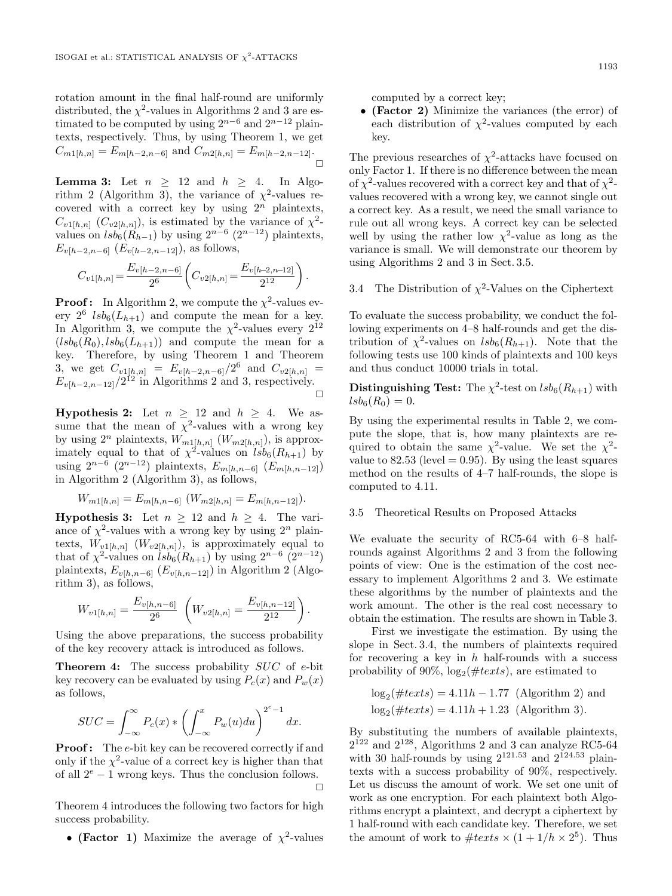rotation amount in the final half-round are uniformly distributed, the  $\chi^2$ -values in Algorithms 2 and 3 are estimated to be computed by using  $2^{n-6}$  and  $2^{n-12}$  plaintexts, respectively. Thus, by using Theorem 1, we get  $C_{m1[h,n]} = E_{m[h-2,n-6]}$  and  $C_{m2[h,n]} = E_{m[h-2,n-12]}$ .  $\Box$ 

**Lemma 3:** Let  $n \geq 12$  and  $h \geq 4$ . In Algorithm 2 (Algorithm 3), the variance of  $\chi^2$ -values recovered with a correct key by using  $2^n$  plaintexts,  $C_{v1[h,n]}$   $(C_{v2[h,n]})$ , is estimated by the variance of  $\chi^2$ values on  $lsb_6(R_{h-1})$  by using  $2^{n-6}$   $(2^{n-12})$  plaintexts,  $E_{v[h-2,n-6]}$   $(E_{v[h-2,n-12]}),$  as follows,

$$
C_{v1[h,n]} = \frac{E_{v[h-2,n-6]}}{2^6} \left( C_{v2[h,n]} = \frac{E_{v[h-2,n-12]}}{2^{12}} \right).
$$

**Proof:** In Algorithm 2, we compute the  $\chi^2$ -values every  $2^6$   $lsb_6(L_{h+1})$  and compute the mean for a key. In Algorithm 3, we compute the  $\chi^2$ -values every  $2^{12}$  $(lsb<sub>6</sub>(R<sub>0</sub>), lsb<sub>6</sub>(L<sub>h+1</sub>))$  and compute the mean for a key. Therefore, by using Theorem 1 and Theorem 3, we get  $C_{v1[h,n]} = E_{v[h-2,n-6]}/2^6$  and  $C_{v2[h,n]} =$  $E_{v[h-2,n-12]}/2^{12}$  in Algorithms 2 and 3, respectively.  $\Box$ 

**Hypothesis 2:** Let  $n \geq 12$  and  $h \geq 4$ . We assume that the mean of  $\chi^2$ -values with a wrong key by using  $2^n$  plaintexts,  $W_{m1[h,n]}$   $(W_{m2[h,n]}),$  is approximately equal to that of  $\chi^2$ -values on  $\widehat{lsb}_6(R_{h+1})$  by using  $2^{n-\bar{6}}$  (2<sup>n−12</sup>) plaintexts,  $E_{m[h,n-6]}$  ( $E_{m[h,n-12]}$ ) in Algorithm 2 (Algorithm 3), as follows,

$$
W_{m1[h,n]} = E_{m[h,n-6]} (W_{m2[h,n]} = E_{m[h,n-12]}).
$$

**Hypothesis 3:** Let  $n \geq 12$  and  $h \geq 4$ . The variance of  $\chi^2$ -values with a wrong key by using  $2^n$  plaintexts,  $W_{v1[h,n]}$   $(W_{v2[h,n]})$ , is approximately equal to that of  $\chi^2$ -values on  $\overline{lsb_6}(R_{h+1})$  by using  $2^{n-6}$   $(2^{n-12})$ plaintexts,  $E_{v[h,n-6]}$  ( $E_{v[h,n-12]}$ ) in Algorithm 2 (Algorithm 3), as follows,

$$
W_{v1[h,n]} = \frac{E_{v[h,n-6]}}{2^6} \left( W_{v2[h,n]} = \frac{E_{v[h,n-12]}}{2^{12}} \right).
$$

Using the above preparations, the success probability of the key recovery attack is introduced as follows.

Theorem 4: The success probability SUC of e-bit key recovery can be evaluated by using  $P_c(x)$  and  $P_w(x)$ as follows,

$$
SUC = \int_{-\infty}^{\infty} P_c(x) * \left( \int_{-\infty}^{x} P_w(u) du \right)^{2^e - 1} dx.
$$

**Proof:** The e-bit key can be recovered correctly if and only if the  $\chi^2$ -value of a correct key is higher than that of all  $2^e - 1$  wrong keys. Thus the conclusion follows.  $\Box$ 

Theorem 4 introduces the following two factors for high success probability.

• **(Factor 1)** Maximize the average of  $\chi^2$ -values

computed by a correct key;

• **(Factor 2)** Minimize the variances (the error) of each distribution of  $\chi^2$ -values computed by each key.

The previous researches of  $\chi^2$ -attacks have focused on only Factor 1. If there is no difference between the mean of  $\chi^2$ -values recovered with a correct key and that of  $\chi^2$ values recovered with a wrong key, we cannot single out a correct key. As a result, we need the small variance to rule out all wrong keys. A correct key can be selected well by using the rather low  $\chi^2$ -value as long as the variance is small. We will demonstrate our theorem by using Algorithms 2 and 3 in Sect. 3.5.

## 3.4 The Distribution of  $\chi^2$ -Values on the Ciphertext

To evaluate the success probability, we conduct the following experiments on 4–8 half-rounds and get the distribution of  $\chi^2$ -values on  $lsb_6(R_{h+1})$ . Note that the following tests use 100 kinds of plaintexts and 100 keys and thus conduct 10000 trials in total.

**Distinguishing Test:** The  $\chi^2$ -test on  $lsb_6(R_{h+1})$  with  $lsb_6(R_0) = 0.$ 

By using the experimental results in Table 2, we compute the slope, that is, how many plaintexts are required to obtain the same  $\chi^2$ -value. We set the  $\chi^2$ value to  $82.53$  (level  $= 0.95$ ). By using the least squares method on the results of 4–7 half-rounds, the slope is computed to 4.11.

## 3.5 Theoretical Results on Proposed Attacks

We evaluate the security of RC5-64 with 6–8 halfrounds against Algorithms 2 and 3 from the following points of view: One is the estimation of the cost necessary to implement Algorithms 2 and 3. We estimate these algorithms by the number of plaintexts and the work amount. The other is the real cost necessary to obtain the estimation. The results are shown in Table 3.

First we investigate the estimation. By using the slope in Sect. 3.4, the numbers of plaintexts required for recovering a key in  $h$  half-rounds with a success probability of 90%,  $log_2(\#texts)$ , are estimated to

$$
log_2(\#texts) = 4.11h - 1.77
$$
 (Algorithm 2) and  
 $log_2(\#texts) = 4.11h + 1.23$  (Algorithm 3).

By substituting the numbers of available plaintexts,  $2^{122}$  and  $2^{128}$ , Algorithms 2 and 3 can analyze RC5-64 with 30 half-rounds by using  $2^{121.53}$  and  $2^{124.53}$  plaintexts with a success probability of 90%, respectively. Let us discuss the amount of work. We set one unit of work as one encryption. For each plaintext both Algorithms encrypt a plaintext, and decrypt a ciphertext by 1 half-round with each candidate key. Therefore, we set the amount of work to  $\#text{}{texts} \times (1 + 1/h \times 2^5)$ . Thus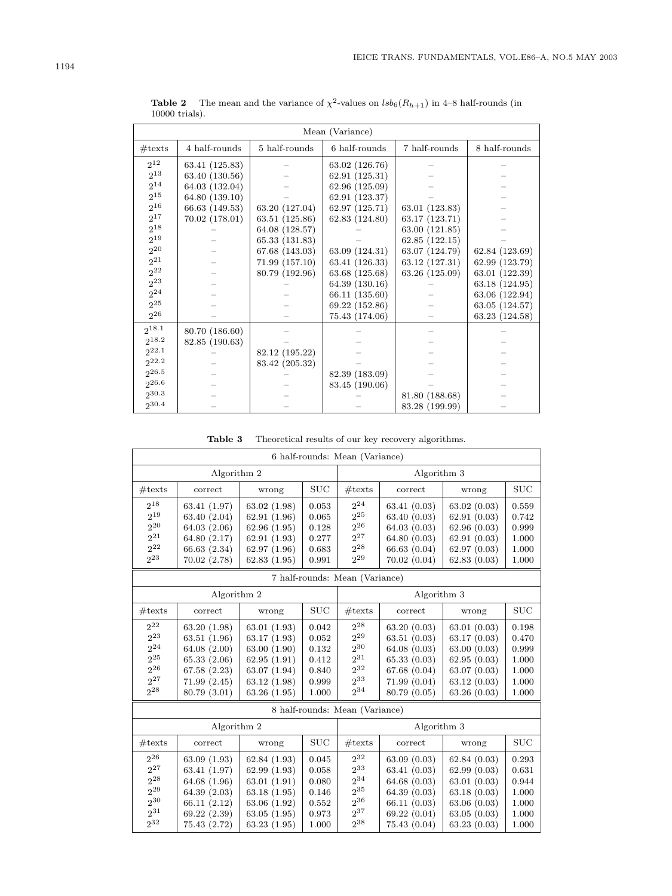| Mean (Variance) |                |                |                |                |                |  |  |  |  |
|-----------------|----------------|----------------|----------------|----------------|----------------|--|--|--|--|
|                 |                |                |                |                |                |  |  |  |  |
| #textes         | 4 half-rounds  | 5 half-rounds  | 6 half-rounds  | 7 half-rounds  | 8 half-rounds  |  |  |  |  |
| $2^{12}$        | 63.41 (125.83) |                | 63.02 (126.76) |                |                |  |  |  |  |
| $2^{13}$        | 63.40 (130.56) |                | 62.91(125.31)  |                |                |  |  |  |  |
| $2^{14}$        | 64.03 (132.04) |                | 62.96 (125.09) |                |                |  |  |  |  |
| $2^{15}$        | 64.80 (139.10) |                | 62.91 (123.37) |                |                |  |  |  |  |
| $2^{16}$        | 66.63 (149.53) | 63.20 (127.04) | 62.97 (125.71) | 63.01 (123.83) |                |  |  |  |  |
| $2^{17}$        | 70.02 (178.01) | 63.51 (125.86) | 62.83 (124.80) | 63.17 (123.71) |                |  |  |  |  |
| $2^{18}$        |                | 64.08 (128.57) |                | 63.00 (121.85) |                |  |  |  |  |
| $2^{19}$        |                | 65.33 (131.83) |                | 62.85 (122.15) |                |  |  |  |  |
| $2^{20}$        |                | 67.68 (143.03) | 63.09 (124.31) | 63.07 (124.79) | 62.84 (123.69) |  |  |  |  |
| $2^{21}$        |                | 71.99 (157.10) | 63.41 (126.33) | 63.12(127.31)  | 62.99 (123.79) |  |  |  |  |
| $2^{22}$        |                | 80.79 (192.96) | 63.68 (125.68) | 63.26 (125.09) | 63.01 (122.39) |  |  |  |  |
| $2^{23}$        |                |                | 64.39 (130.16) |                | 63.18 (124.95) |  |  |  |  |
| $2^{24}$        |                |                | 66.11 (135.60) |                | 63.06 (122.94) |  |  |  |  |
| $2^{25}$        |                |                | 69.22 (152.86) |                | 63.05 (124.57) |  |  |  |  |
| $2^{26}$        |                |                | 75.43 (174.06) |                | 63.23 (124.58) |  |  |  |  |
| 218.1           | 80.70 (186.60) |                |                |                |                |  |  |  |  |
| $2^{18.2}$      | 82.85 (190.63) |                |                |                |                |  |  |  |  |
| $2^{22.1}$      |                | 82.12 (195.22) |                |                |                |  |  |  |  |
| $2^{22.2}$      |                | 83.42 (205.32) |                |                |                |  |  |  |  |
| $2^{26.5}$      |                |                | 82.39 (183.09) |                |                |  |  |  |  |
| $2^{26.6}$      |                |                | 83.45 (190.06) |                |                |  |  |  |  |
| $2^{30.3}$      |                |                |                | 81.80 (188.68) |                |  |  |  |  |
| 230.4           |                |                |                | 83.28 (199.99) |                |  |  |  |  |

**Table 2** The mean and the variance of  $\chi^2$ -values on  $lsb_6(R_{h+1})$  in 4–8 half-rounds (in 10000 trials).

**Table 3** Theoretical results of our key recovery algorithms.

| 6 half-rounds: Mean (Variance) |              |              |             |                                |                |             |            |  |  |  |
|--------------------------------|--------------|--------------|-------------|--------------------------------|----------------|-------------|------------|--|--|--|
|                                | Algorithm 2  |              | Algorithm 3 |                                |                |             |            |  |  |  |
| #text                          | correct      | wrong        | <b>SUC</b>  | #text                          | <b>SUC</b>     |             |            |  |  |  |
| $2^{18}$                       | 63.41 (1.97) | 63.02(1.98)  | 0.053       | $2^{24}$                       | 63.41(0.03)    | 63.02(0.03) | 0.559      |  |  |  |
| $2^{19}$                       | 63.40 (2.04) | 62.91(1.96)  | 0.065       | $2^{25}$                       | 63.40(0.03)    | 62.91(0.03) | 0.742      |  |  |  |
| $2^{20}$                       | 64.03(2.06)  | 62.96(1.95)  | 0.128       | $2^{26}$                       | 64.03(0.03)    | 62.96(0.03) | 0.999      |  |  |  |
| $2^{21}$                       | 64.80 (2.17) | 62.91(1.93)  | 0.277       | $2^{27}$                       | 64.80 $(0.03)$ | 62.91(0.03) | 1.000      |  |  |  |
| $2^{22}$                       | 66.63 (2.34) | 62.97(1.96)  | 0.683       | $2^{28}$                       | 66.63(0.04)    | 62.97(0.03) | 1.000      |  |  |  |
| $2^{23}$                       | 70.02 (2.78) | 62.83(1.95)  | 0.991       | $2^{29}$                       | 70.02(0.04)    | 62.83(0.03) | 1.000      |  |  |  |
| 7 half-rounds: Mean (Variance) |              |              |             |                                |                |             |            |  |  |  |
|                                | Algorithm 2  |              |             |                                | Algorithm 3    |             |            |  |  |  |
| #text                          | correct      | wrong        | SUC         | #text                          | correct        | wrong       | <b>SUC</b> |  |  |  |
| $2^{22}$                       | 63.20 (1.98) | 63.01(1.93)  | 0.042       | $2^{28}$                       | 63.20(0.03)    | 63.01(0.03) | 0.198      |  |  |  |
| $2^{23}$                       | 63.51 (1.96) | 63.17(1.93)  | 0.052       | $2^{29}\,$                     | 63.51(0.03)    | 63.17(0.03) | 0.470      |  |  |  |
| $2^{24}$                       | 64.08 (2.00) | 63.00 (1.90) | 0.132       | $2^{30}$                       | 64.08(0.03)    | 63.00(0.03) | 0.999      |  |  |  |
| $2^{25}$                       | 65.33(2.06)  | 62.95(1.91)  | 0.412       | 231                            | 65.33(0.03)    | 62.95(0.03) | 1.000      |  |  |  |
| $2^{26}$                       | 67.58 (2.23) | 63.07(1.94)  | 0.840       | $2^{32}$                       | 67.68(0.04)    | 63.07(0.03) | 1.000      |  |  |  |
| $2^{27}$                       | 71.99(2.45)  | 63.12(1.98)  | 0.999       | 233                            | 71.99(0.04)    | 63.12(0.03) | 1.000      |  |  |  |
| $2^{28}$                       | 80.79 (3.01) | 63.26(1.95)  | 1.000       | $2^{34}$                       | 80.79 (0.05)   | 63.26(0.03) | 1.000      |  |  |  |
|                                |              |              |             | 8 half-rounds: Mean (Variance) |                |             |            |  |  |  |
|                                | Algorithm 2  |              |             | Algorithm 3                    |                |             |            |  |  |  |
| #textes                        | correct      | wrong        | SUC         | #text                          | correct        | wrong       | <b>SUC</b> |  |  |  |
| $2^{26}$                       | 63.09(1.93)  | 62.84(1.93)  | 0.045       | $2^{32}$                       | 63.09(0.03)    | 62.84(0.03) | 0.293      |  |  |  |
| $2^{27}$                       | 63.41 (1.97) | 62.99(1.93)  | 0.058       | $\sqrt{2^{33}}$                | 63.41(0.03)    | 62.99(0.03) | 0.631      |  |  |  |
| $2^{28}$                       | 64.68 (1.96) | 63.01(1.91)  | 0.080       | $2^{34}$                       | 64.68(0.03)    | 63.01(0.03) | 0.944      |  |  |  |
| $2^{29}$                       | 64.39 (2.03) | 63.18(1.95)  | 0.146       | $2^{35}$                       | 64.39(0.03)    | 63.18(0.03) | 1.000      |  |  |  |
| 230                            | 66.11 (2.12) | 63.06 (1.92) | 0.552       | $2^{36}$                       | 66.11(0.03)    | 63.06(0.03) | 1.000      |  |  |  |
| $2^{31}$                       | 69.22 (2.39) | 63.05(1.95)  | 0.973       | $2^{37}$                       | 69.22(0.04)    | 63.05(0.03) | 1.000      |  |  |  |
| 232                            | 75.43 (2.72) | 63.23(1.95)  | 1.000       | $2^{38}$                       | 75.43(0.04)    | 63.23(0.03) | 1.000      |  |  |  |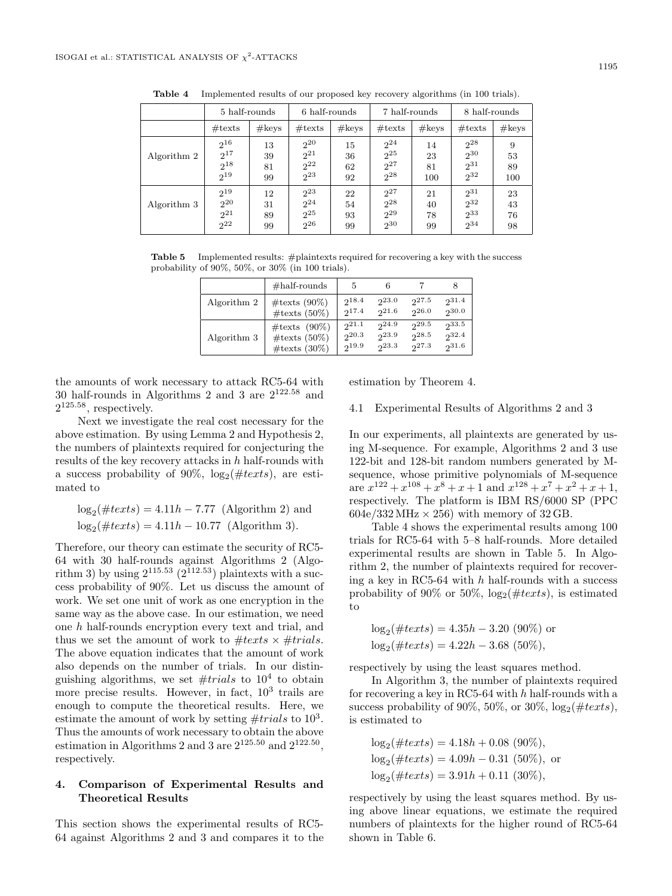|             | 5 half-rounds                                |                      | 6 half-rounds                                       |                      | 7 half-rounds                                |                       | 8 half-rounds                                |                      |
|-------------|----------------------------------------------|----------------------|-----------------------------------------------------|----------------------|----------------------------------------------|-----------------------|----------------------------------------------|----------------------|
|             | $\#\text{texts}$                             | #keys                | $\#\text{texts}$                                    | #keys                | $\#$ texts                                   | #keys                 | $\#\text{texts}$                             | #keys                |
| Algorithm 2 | $2^{16}$<br>$2^{17}$<br>$2^{18}$<br>$2^{19}$ | 13<br>39<br>81<br>99 | 2 <sup>20</sup><br>$2^{21}$<br>$2^{22}$<br>$2^{23}$ | 15<br>36<br>62<br>92 | $2^{24}$<br>$2^{25}$<br>$2^{27}$<br>$2^{28}$ | 14<br>23<br>81<br>100 | $2^{28}$<br>$2^{30}$<br>$2^{31}$<br>$2^{32}$ | 9<br>53<br>89<br>100 |
| Algorithm 3 | $2^{19}$<br>$2^{20}$<br>$2^{21}$<br>$2^{22}$ | 12<br>31<br>89<br>99 | $2^{23}$<br>$2^{24}$<br>$2^{25}$<br>$2^{26}$        | 22<br>54<br>93<br>99 | $2^{27}$<br>$2^{28}$<br>$2^{29}$<br>$2^{30}$ | 21<br>40<br>78<br>99  | $2^{31}$<br>232<br>$2^{33}$<br>234           | 23<br>43<br>76<br>98 |

**Table 4** Implemented results of our proposed key recovery algorithms (in 100 trials).

**Table 5** Implemented results: #plaintexts required for recovering a key with the success probability of 90%, 50%, or 30% (in 100 trials).

|             | $\#half$ -rounds      | 5          |       |      | 8     |
|-------------|-----------------------|------------|-------|------|-------|
| Algorithm 2 | $\#$ texts (90%)      | $2^{18.4}$ | 23.0  | 27.5 | 231.4 |
|             | $\#$ texts (50%)      | 217.4      | 221.6 | 26.0 | 230.0 |
| Algorithm 3 | $\#text{texts}$ (90%) | 221.1      | 24.9  | 29.5 | 933.5 |
|             | $\#$ texts (50%)      | $2^{20.3}$ | 23.9  | 28.5 | 232.4 |
|             | $\#$ texts (30%)      | 219.9      | 23.3  | 27.3 | 231.6 |

the amounts of work necessary to attack RC5-64 with 30 half-rounds in Algorithms 2 and 3 are  $2^{122.58}$  and  $2^{125.58}$ , respectively.

Next we investigate the real cost necessary for the above estimation. By using Lemma 2 and Hypothesis 2, the numbers of plaintexts required for conjecturing the results of the key recovery attacks in  $h$  half-rounds with a success probability of 90%,  $log_2(\#texts)$ , are estimated to

$$
log_2(\#texts) = 4.11h - 7.77
$$
 (Algorithm 2) and  
 $log_2(\#texts) = 4.11h - 10.77$  (Algorithm 3).

Therefore, our theory can estimate the security of RC5- 64 with 30 half-rounds against Algorithms 2 (Algorithm 3) by using  $2^{115.53}$  ( $2^{112.53}$ ) plaintexts with a success probability of 90%. Let us discuss the amount of work. We set one unit of work as one encryption in the same way as the above case. In our estimation, we need one h half-rounds encryption every text and trial, and thus we set the amount of work to  $\#texts \times \#trials$ . The above equation indicates that the amount of work also depends on the number of trials. In our distinguishing algorithms, we set  $#trials$  to  $10<sup>4</sup>$  to obtain more precise results. However, in fact,  $10^3$  trails are enough to compute the theoretical results. Here, we estimate the amount of work by setting  $\# trials$  to  $10^3$ . Thus the amounts of work necessary to obtain the above estimation in Algorithms 2 and 3 are  $2^{125.50}$  and  $2^{122.50}$ . respectively.

## **4. Comparison of Experimental Results and Theoretical Results**

This section shows the experimental results of RC5- 64 against Algorithms 2 and 3 and compares it to the estimation by Theorem 4.

#### 4.1 Experimental Results of Algorithms 2 and 3

In our experiments, all plaintexts are generated by using M-sequence. For example, Algorithms 2 and 3 use 122-bit and 128-bit random numbers generated by Msequence, whose primitive polynomials of M-sequence are  $x^{122} + x^{108} + x^8 + x + 1$  and  $x^{128} + x^7 + x^2 + x + 1$ , respectively. The platform is IBM RS/6000 SP (PPC  $604e/332 MHz \times 256$ ) with memory of 32 GB.

Table 4 shows the experimental results among 100 trials for RC5-64 with 5–8 half-rounds. More detailed experimental results are shown in Table 5. In Algorithm 2, the number of plaintexts required for recovering a key in RC5-64 with  $h$  half-rounds with a success probability of 90% or 50%,  $log_2(\#texts)$ , is estimated to

$$
log_2(\#text) = 4.35h - 3.20 (90\%) or
$$
  

$$
log_2(\#text) = 4.22h - 3.68 (50\%).
$$

respectively by using the least squares method.

In Algorithm 3, the number of plaintexts required for recovering a key in RC5-64 with  $h$  half-rounds with a success probability of 90%, 50%, or 30%,  $log_2(\#text)$ , is estimated to

$$
log_2(\#text) = 4.18h + 0.08 (90\%),
$$
  
\n
$$
log_2(\#text) = 4.09h - 0.31 (50\%),
$$
 or  
\n
$$
log_2(\#text) = 3.91h + 0.11 (30\%),
$$

respectively by using the least squares method. By using above linear equations, we estimate the required numbers of plaintexts for the higher round of RC5-64 shown in Table 6.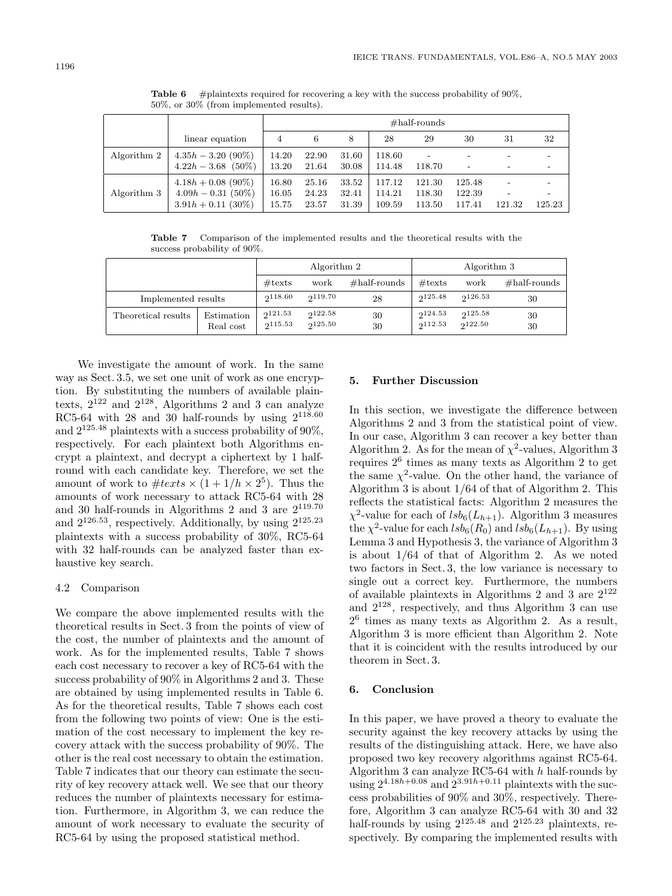|             | $\sigma$ , $\sigma$ , $\sigma$ , $\sigma$ , $\sigma$ , $\sigma$ , $\sigma$ , $\sigma$ , $\sigma$ , $\sigma$ , $\sigma$ , $\sigma$ , $\sigma$ , $\sigma$ , $\sigma$ , $\sigma$ , $\sigma$ , $\sigma$ , $\sigma$ , $\sigma$ , $\sigma$ , $\sigma$ , $\sigma$ , $\sigma$ , $\sigma$ , $\sigma$ , $\sigma$ , $\sigma$ , $\sigma$ , $\sigma$ , $\sigma$ , $\sigma$ , $\sigma$ , $\sigma$ , $\sigma$ , $\sigma$ , $\sigma$ , |                         |                         |                         |                            |                            |                            |        |        |  |
|-------------|------------------------------------------------------------------------------------------------------------------------------------------------------------------------------------------------------------------------------------------------------------------------------------------------------------------------------------------------------------------------------------------------------------------------|-------------------------|-------------------------|-------------------------|----------------------------|----------------------------|----------------------------|--------|--------|--|
|             |                                                                                                                                                                                                                                                                                                                                                                                                                        |                         | $\#half-rounds$         |                         |                            |                            |                            |        |        |  |
|             | linear equation                                                                                                                                                                                                                                                                                                                                                                                                        | 4                       | 6                       | 8                       | 28                         | 29                         | 30                         | 31     | 32     |  |
| Algorithm 2 | $4.35h - 3.20(90\%)$<br>$4.22h - 3.68$ (50%)                                                                                                                                                                                                                                                                                                                                                                           | 14.20<br>13.20          | 22.90<br>21.64          | 31.60<br>30.08          | 118.60<br>114.48           | 118.70                     |                            |        |        |  |
| Algorithm 3 | $4.18h + 0.08$ (90%)<br>$4.09h - 0.31(50\%)$<br>$3.91h + 0.11$ (30%)                                                                                                                                                                                                                                                                                                                                                   | 16.80<br>16.05<br>15.75 | 25.16<br>24.23<br>23.57 | 33.52<br>32.41<br>31.39 | 117.12<br>114.21<br>109.59 | 121.30<br>118.30<br>113.50 | 125.48<br>122.39<br>117.41 | 121.32 | 125.23 |  |

**Table 6** #plaintexts required for recovering a key with the success probability of 90%. 50%, or 30% (from implemented results).

**Table 7** Comparison of the implemented results and the theoretical results with the success probability of 90%.

|                     |                         | Algorithm 2 |                    |                  |                    | Algorithm 3        |          |
|---------------------|-------------------------|-------------|--------------------|------------------|--------------------|--------------------|----------|
|                     | $\#\text{texts}$        | work        | $\#half$ -rounds   | $\#\text{texts}$ | work               | $\#half-rounds$    |          |
| Implemented results |                         | 2118.60     | 2119.70            | 28               | 2125.48            | 2126.53            | 30       |
| Theoretical results | Estimation<br>Real cost |             | 2122.58<br>2125.50 | 30<br>30         | 2124.53<br>2112.53 | 2125.58<br>2122.50 | 30<br>30 |

We investigate the amount of work. In the same way as Sect. 3.5, we set one unit of work as one encryption. By substituting the numbers of available plaintexts,  $2^{122}$  and  $2^{128}$ , Algorithms 2 and 3 can analyze RC5-64 with 28 and 30 half-rounds by using  $2^{118.60}$ and  $2^{125.48}$  plaintexts with a success probability of  $90\%$ , respectively. For each plaintext both Algorithms encrypt a plaintext, and decrypt a ciphertext by 1 halfround with each candidate key. Therefore, we set the amount of work to  $\#text{}{exts} \times (1 + 1/h \times 2^5)$ . Thus the amounts of work necessary to attack RC5-64 with 28 and 30 half-rounds in Algorithms 2 and 3 are  $2^{119.70}$ and  $2^{126.53}$ , respectively. Additionally, by using  $2^{125.23}$ plaintexts with a success probability of 30%, RC5-64 with 32 half-rounds can be analyzed faster than exhaustive key search.

### 4.2 Comparison

We compare the above implemented results with the theoretical results in Sect. 3 from the points of view of the cost, the number of plaintexts and the amount of work. As for the implemented results, Table 7 shows each cost necessary to recover a key of RC5-64 with the success probability of 90% in Algorithms 2 and 3. These are obtained by using implemented results in Table 6. As for the theoretical results, Table 7 shows each cost from the following two points of view: One is the estimation of the cost necessary to implement the key recovery attack with the success probability of 90%. The other is the real cost necessary to obtain the estimation. Table 7 indicates that our theory can estimate the security of key recovery attack well. We see that our theory reduces the number of plaintexts necessary for estimation. Furthermore, in Algorithm 3, we can reduce the amount of work necessary to evaluate the security of RC5-64 by using the proposed statistical method.

## **5. Further Discussion**

In this section, we investigate the difference between Algorithms 2 and 3 from the statistical point of view. In our case, Algorithm 3 can recover a key better than Algorithm 2. As for the mean of  $\chi^2$ -values, Algorithm 3 requires  $2<sup>6</sup>$  times as many texts as Algorithm 2 to get the same  $\chi^2$ -value. On the other hand, the variance of Algorithm 3 is about 1/64 of that of Algorithm 2. This reflects the statistical facts: Algorithm 2 measures the  $\chi^2$ -value for each of  $lsb_6(L_{h+1})$ . Algorithm 3 measures the  $\chi^2$ -value for each  $lsb_6(R_0)$  and  $lsb_6(L_{h+1})$ . By using Lemma 3 and Hypothesis 3, the variance of Algorithm 3 is about 1/64 of that of Algorithm 2. As we noted two factors in Sect. 3, the low variance is necessary to single out a correct key. Furthermore, the numbers of available plaintexts in Algorithms 2 and 3 are  $2^{122}$ and  $2^{128}$ , respectively, and thus Algorithm 3 can use  $2<sup>6</sup>$  times as many texts as Algorithm 2. As a result, Algorithm 3 is more efficient than Algorithm 2. Note that it is coincident with the results introduced by our theorem in Sect. 3.

#### **6. Conclusion**

In this paper, we have proved a theory to evaluate the security against the key recovery attacks by using the results of the distinguishing attack. Here, we have also proposed two key recovery algorithms against RC5-64. Algorithm 3 can analyze RC5-64 with  $h$  half-rounds by using  $2^{4.18h+0.08}$  and  $2^{3.91h+0.11}$  plaintexts with the success probabilities of 90% and 30%, respectively. Therefore, Algorithm 3 can analyze RC5-64 with 30 and 32 half-rounds by using  $2^{125.48}$  and  $2^{125.23}$  plaintexts, respectively. By comparing the implemented results with